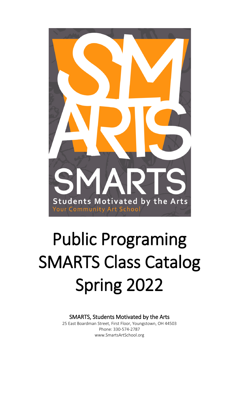

# Public Programing SMARTS Class Catalog Spring 2022

SMARTS, Students Motivated by the Arts

25 East Boardman Street, First Floor, Youngstown, OH 44503 [Phone:](https://www.google.com/search?q=youngstown+community+school+phone&sa=X&ved=0ahUKEwje-7zkk6PWAhUJ2oMKHaOCA08Q6BMIjAEwEg) [330-](about:blank)574-2787 [www.SmartsArtSchool.org](http://www.smartsartschool.org/)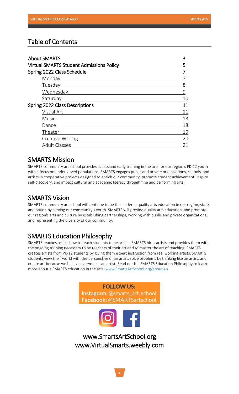## Table of Contents

| <b>About SMARTS</b>                             | 3  |
|-------------------------------------------------|----|
| <b>Virtual SMARTS Student Admissions Policy</b> | 5  |
| Spring 2022 Class Schedule                      |    |
| Monday                                          |    |
| Tuesday                                         | 8  |
| Wednesday                                       | 9  |
| Saturday                                        | 10 |
| Spring 2022 Class Descriptions                  | 11 |
| Visual Art                                      | 11 |
| <b>Music</b>                                    | 13 |
| Dance                                           | 18 |
| Theater                                         | 19 |
| <b>Creative Writing</b>                         | 20 |
| <b>Adult Classes</b>                            | 21 |

## SMARTS Mission

SMARTS community art school provides access and early training in the arts for our region's PK-12 youth with a focus on underserved populations. SMARTS engages public and private organizations, schools, and artists in cooperative projects designed to enrich our community, promote student achievement, inspire self-discovery, and impact cultural and academic literacy through fine and performing arts.

## SMARTS Vision

SMARTS community art school will continue to be the leader in quality arts education in our region, state, and nation by serving our community's youth. SMARTS will provide quality arts education, and promote our region's arts and culture by establishing partnerships, working with public and private organizations, and representing the diversity of our community.

## SMARTS Education Philosophy

SMARTS teaches artists how to teach students to be artists. SMARTS hires artists and provides them with the ongoing training necessary to be teachers of their art and to master the art of teaching. SMARTS creates artists from PK-12 students by giving them expert instruction from real working artists. SMARTS students view their world with the perspective of an artist, solve problems by thinking like an artist, and create art because we believe everyone is an artist. Read our full SMARTS Education Philosophy to learn more about a SMARTS education in the arts: [www.SmartsArtSchool.org/about-us.](http://www.smartsartschool.org/about-us)

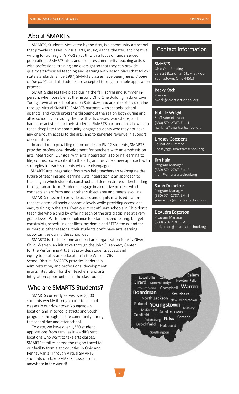## About SMARTS

 $\overline{a}$  writing for our region's PK-12 youth with a focus on underserved populations. SMARTS hires and prepares community teaching artists<br>with professional training and oversight so that they can provide quality arts-focused teaching and learning with lesson plans that follow *to the public* and all students are accepted through a simple application process.<br>CMAD SMARTS, Students Motivated by the Arts, is a community art school that provides classes in visual arts, music, dance, theater, and creative with professional training and oversight so that they can provide state standards. Since 1997, SMARTS classes have been *free and open* 

 person, when possible, at the historic Ohio One Building in downtown Youngstown after-school and on Saturdays and are also offered<br>through Virtual SMARTS. SMARTS partners with schools, school districts, and youth programs throughout the region both during and hands-on activities for their students. SMARTS partnerships allow us to reach deep into the community, engage students who may not have<br>any or enough access to the arts, and to generate revenue in support of our future. SMARTS classes take place during the fall, spring and summer in-Youngstown after-school and on Saturdays and are also offered online after school by providing them with arts classes, workshops, and any or enough access to the arts, and to generate revenue in support

provides professional development for teachers with an emphasis on arts integration. Our goal with arts integration is to bring learning to<br>life, connect core content to the arts, and provide a new approach w strategies to reach students who are disengaged. In addition to providing opportunities to PK-12 students, SMARTS life, connect core content to the arts, and provide a new approach with

 future of teaching and learning. Arts Integration is an approach to teaching in which students construct and demonstrate understanding<br>through an ort form. Students engage in a spective process which connects an art form and another subject area and meets evolving SMARTS arts integration focus can help teachers to re-imagine the through an art form. Students engage in a creative process which

SMARTS mission to provide access and equity in arts education<br>reaches across all socio-economic levels while providing access and early training in the arts. Even our most affluent schools in Ohio don't grade level. With their compliance for standardized testing, budget constraints, scheduling conflicts, academic and STEM focus, and for<br>numerous other reasons, their students don't have arts learning. opportunities during the school day. SMARTS mission to provide access and equity in arts education teach the whole child by offering each of the arts disciplines at every numerous other reasons, their students don't have arts learning

 Child, Warren, an initiative through the John F. Kennedy Center for the Performing Arts that provides students access and<br>constructs muslim acts advertise in the Warren City School District. SMARTS provides leadership, administration, and professional developmen<sup>.</sup><br>in arts integration for their teachers, and arts integration opportunities in the classrooms. SMARTS is the backbone and lead arts organization for Any Given equity to quality arts education in the Warren City administration, and professional development

# Who are SMARTS Students?

students weekly through our after sch<br>classes in our downtown Youngstown location and in school districts and youth programs unoughout the comm<br>the school day and after school. SMARTS currently serves over 3,500 students weekly through our after school programs throughout the community during

To date, we have over 1,350 student<br>applications from families in 44 different locations who want to take arts classes. our facility from eight counties in Ohio and<br>our facility from eight counties in Ohio and Pennsylvania. Through Virtual SMARTS, anywhere in the world! To date, we have over 1,350 student SMARTS families across the region travel to students can take SMARTS classes from

## Contact Information

#### **SMARTS**

Ohio One Building 25 East Boardman St., First Floor Youngstown, Ohio 44503

Becky Keck President bkeck@smartsartschool.org

#### Natalie Wright

Staff Administrator (330) 574-2787, Ext. 1 nwright@smartsartschool.org

ׇ֚֚֚֬

l

#### Lindsay Goossens

Education Director lindsaycg@smartsartschool.org

#### Jim Hain

Program Manager (330) 574-2787, Ext. 2 jhain@smartsartschool.org

#### Sarah Demetruk

Program Manager (330) 574-2787, Ext. 2 sdemetruk@smartsartschool.org

ׇ֚֚֚֬

֚֚֚֚֚֚֬֡֡֡֡֡֡֡֡

#### DeAudra Edgerson

Program Manager (330) 574-2787, Ext. 2 dedgerson@smartsartschool.org

l

.<br>Salem Lowellville Siraru Mineral Ridge<br>Columbiana Campbell **Warr** newton Falls<br>Falls **Boardman** rutners<br>… North Jackson **Boland Youngstown** .<br>r **No Donald**  $\sim$  Masu Canfield eld Austinic<br>N<sup>el</sup> Nel wii<br>Cortland Petersburg **Canadian Security**<br>Brookfield <sub>Hubbard</sub> í rookfield <sub>Hubbard</sub> Brookfield Southington

Southington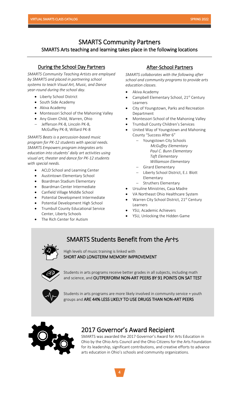ı

## SMARTS Community Partners

## SMARTS Arts teaching and learning takes place in the following locations

## During the School Day Partners

 *SMARTS Community Teaching Artists are employed by SMARTS and placed in partnering school year-round during the school day. systems to teach Visual Art, Music, and Dance* 

- Liberty School District
- South Side Academy
- Akiva Academy
- Montessori School of the Mahoning Valley
- Any Given Child, Warren, Ohio
- − Jefferson PK-8, Lincoln PK-8, McGuffey PK-8, Willard PK-8

 *SMARTS Beats is a percussion-based music SMARTS Empowers program integrates arts visual art, theater and dance for PK-12 students with special needs. program for PK-12 students with special needs. education into students' daily art activities using* 

- ACLD School and Learning Center
- Austintown Elementary School
- Boardman Stadium Elementary
- Boardman Center Intermediate
- Canfield Village Middle School
- Potential Development Intermediate
- Potential Development High School
- Trumbull County Educational Service Center, Liberty Schools
- The Rich Center for Autism

## After-School Partners

*SMARTS collaborates with the following after school and community programs to provide arts education classes.*

- Akiva Academy
- Campbell Elementary School, 21<sup>st</sup> Century Learners
- City of Youngstown, Parks and Recreation Department
- Montessori School of the Mahoning Valley
- Trumbull County Children's Services
- United Way of Youngstown and Mahoning County "Success After 6"
	- − Youngstown City Schools  *McGuffey Elementary Paul C. Bunn Elementary Taft Elementary Williamson Elementary*
	- − Girard Elementary
	- − Liberty School District, E.J. Blott Elementary
	- − Struthers Elementary
- Ursuline Ministries, Casa Madre
- VA Northeast Ohio Healthcare System
- Warren City School District, 21<sup>st</sup> Century Learners
- YSU, Academic Achievers
- YSU, Unlocking the Hidden Game

# SMARTS Students Benefit from the Arts

High levels of music training is linked with SHORT AND LONGTERM MEMORY IMPROVEMENT



Students in arts programs receive better grades in all subjects, including math and science, and OUTPERFORM NON-ART PEERS BY 91 POINTS ON SAT TEST



Students in arts programs are more likely involved in community service + youth groups and ARE 44% LESS LIKELY TO USE DRUGS THAN NON-ART PEERS



## 2017 Governor's Award Recipient

SMARTS was awarded the 2017 Governor's Award for Arts Education in Ohio by the Ohio Arts Council and the Ohio Citizens for the Arts Foundation for its leadership, significant contributions, and creative efforts to advance arts education in Ohio's schools and community organizations.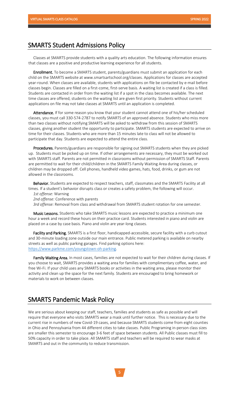## SMARTS Student Admissions Policy

 that classes are a positive and productive learning experience for all students. Classes at SMARTS provide students with a quality arts education. The following information ensures

cniia on the SMARTS website at www.smartsartschooi.org/classes. Applications for classes are accepted<br>year-round. When classes are available, students with applications on file be contacted by e-mail before classes begin. Classes are filled on a first-come, first-serve basis. A waiting list is created if a class is filled. time classes are offered, students on the waiting list are given first priority. Students without current applications on file may not take classes at SMARTS until an application is completed. Enrollment. To become a SMARTS student, parents/guardians must submit an application for each child on the SMARTS website at www.smartsartschool.org/classes. Applications for classes are accepted Students are contacted in order from the waiting list if a spot in the class becomes available. The next

**Attendance.** If for some reason you know that your student cannot attend one of his/her scheduled<br>classes, you must call 330-574-2787 to notify SMARTS of an approved absence. Students who miss more than two classes without notifying SMARTS will be asked to withdraw from this session of SMARTS time for their classes. Students who are more than 15 minutes late to class will not be allowed to participate that day. Students are expected to attend the entire class. Attendance. If for some reason you know that your student cannot attend one of his/her scheduled classes, giving another student the opportunity to participate. SMARTS students are expected to arrive on

Procedures. Parents/guardians are responsible for signing out SMARTS students when they are picked up. Students must be picked up on time. If other arrangements are necessary, they must be worked out with SMARTS staff. Parents are not permitted in classrooms without permission of SMARTS Staff. Parents are permitted to wait for their child/children in the SMARTS Family Waiting Area during classes, or<br>children may be dronned off. Cell phones, bandheld video games, hats, food, drinks, or gum are no allowed in the classrooms. Procedures. Parents/guardians are responsible for signing out SMARTS students when they are picked children may be dropped off. Cell phones, handheld video games, hats, food, drinks, or gum are not

times. If a student's behavior disrupts class or creates a safety problem, the following will occur.<br>1st offense: Warning Behavior. Students are expected to respect teachers, staff, classmates and the SMARTS Facility at all

*1st offense:* Warning

*2nd offense:* Conference with parents

*3rd offense:* Removal from class and withdrawal from SMARTS student rotation for one semester.

 hour a week and record these hours on their practice card. Students interested in piano and violin are placed on a case by case basis. Piano and violin are year-long classes. Music Lessons. Students who take SMARTS music lessons are expected to practice a minimum one

**Facility and Parking.** SMARTS is a first floor, handicapped-accessible, secure facility with a curb cutou<br>and 30-minute loading zone outside our main entrance. Public metered parking is available on nearby streets as well as public parking garages. Find parking options here: [https://www.parkme.com/youngstown-oh-parking.](https://www.parkme.com/youngstown-oh-parking) Facility and Parking. SMARTS is a first floor, handicapped-accessible, secure facility with a curb cutout

**Family waiting Area.** In most cases, families are not expected to wait for their children during classes.<br>you choose to wait, SMARTS provides a waiting area for families with complimentary coffee, water, and free Wi-Fi. If your child uses any SMARTS books or activities in the waiting area, please monitor their materials to work on between classes. Family Waiting Area. In most cases, families are not expected to wait for their children during classes. If activity and clean up the space for the next family. Students are encouraged to bring homework or

## SMARTS Pandemic Mask Policy

We are serious about keeping our staff, teachers, families and students as safe as possible and will require that everyone who visits SMARTS wear a mask until further notice. This is necessary due to the current rise in numbers of new Covid-19 cases, and because SMARTS students come from eight counties in Ohio and Pennsylvania from 44 different cities to take classes. Public Programing in-person class sizes are smaller this semester to encourage 3-6 feet of space between students. All Public classes must fill to 50% capacity in order to take place. All SMARTS staff and teachers will be required to wear masks at SMARTS and out in the community to reduce transmission.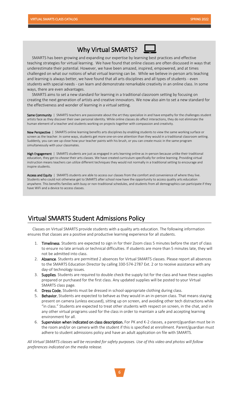# Why Virtual SMARTS?

siviant is has been growing and expanding our expertise by learning best practices and effective<br>teaching strategies for virtual learning. We have found that online classes are often discussed in ways that underestimate their potential. However, we have been amazed, inspired, empowered, and at times<br>shallanged an what our nations of what virtual learning son he. While we heliove in narson arts too. and learning is always better, we have found that all arts disciplines and all types of students - even students with special needs - can<br>ways, there are even advantages. SMARTS has been growing and expanding our expertise by learning best practices and effective challenged on what our notions of what virtual learning can be. While we believe in-person arts teaching students with special needs - can learn and demonstrate remarkable creativity in an online class. In some

SMARTS aims to set a new standard for learning in a traditional classroom setting by focusing on<br>creating the next generation of artists and creative innovators. We now also aim to set a new standard for the effectiveness and wonder of learning in a virtual setting. SMARTS aims to set a new standard for learning in a traditional classroom setting by focusing on

**Same Community** | SMARTS teachers are passionate about the art they specialize in and have empathy for the challenges student artists face as they discover their own personal identity. While online classes do affect interactions, they do not eliminate the<br>human element of a teacher and students working on proiects together with compassion and cre human element of a teacher and students working on projects together with compassion and creativity.

 New Perspective | SMARTS online learning benefits arts disciplines by enabling students to view the same working surface or screen as the teacher. In some ways, students get more one-on-one attention than they would in a traditional classro<br>Suddenly, you can see up close how your teacher paints with his brush, or you can create music in the sam simultaneously with your classmates. screen as the teacher. In some ways, students get more one-on-one attention than they would in a traditional classroom setting.

**High Engagement** | SMARTS students are just as engaged in arts learning online as in-person because unlike their traditional<br>education, thev get to *choose* their arts classes. We have created curriculum specifically for instruction means teachers can utilize different techniques they would not normally in a traditional setting to encourage and<br>inspire students. education, they get to *choose* their arts classes. We have created curriculum specifically for online learning. Providing virtual inspire students.

**Access and Equity** | SMARTS students are able to access our classes from the comfort and convenience of where they live. Students who could not otherwise get to SMARTS after school now have the opportunity to access quality arts education<br>anywhere. This benefits families with busy or non-traditional schedules, and students from all demograph have WiFi and a device to access classes.anywhere. This benefits families with busy or non-traditional schedules, and students from all demographics can participate if they

# Virtual SMARTS Student Admissions Policy

I

 ensures that classes are a positive and productive learning experience for all students. Classes on Virtual SMARTS provide students with a quality arts education. The following information

- 1. Timeliness. Students are expected to sign in for their Zoom class 5 minutes before the start of class to ensure no late arrivals or technical difficulties. If students are more than 5 minutes late, they will not be admitted into class.
- 2. Absence. Students are permitted 2 absences for Virtual SMARTS classes. Please report all absences to the SMARTS Education Director by calling 330-574-2787 Ext. 2 or to receive assistance with any day-of technology issues.
- 3. Supplies. Students are required to double check the supply list for the class and have these supplies prepared or purchased for the first class. Any updated supplies will be posted to your Virtual SMARTS class page.
- 4. Dress Code. Students must be dressed in school-appropriate clothing during class.
- 5. Behavior. Students are expected to behave as they would in an in-person class. That means staying present on camera (unless excused), sitting up on screen, and avoiding other tech distractions while "in class." Students are expected to treat other students with respect on screen, in the chat, and in any other virtual programs used for the class in order to maintain a safe and accepting learning environment for all.
- 6. Supervision when indicated on class description. For PK and K-2 classes, a parent/guardian must be in the room and/or on camera with the student if this is specified at enrollment. Parent/guardian must adhere to student admissions policy and have an adult application on file with SMARTS.

 *All Virtual SMARTS classes will be recorded for safety purposes. Use of this video and photos will follow preferences indicated on the media release.*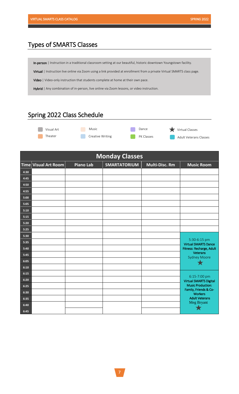j

# Types of SMARTS Classes

In-person | Instruction in a traditional classroom setting at our beautiful, historic downtown Youngstown facility.

Virtual | Instruction live online via Zoom using a link provided at enrollment from a private Virtual SMARTS class page.

Video | Video-only instruction that students complete at home at their own pace.

Hybrid | Any combination of in-person, live online via Zoom lessons, or video instruction.

# Spring 2022 Class Schedule



| <b>Monday Classes</b> |                      |                  |                     |                |                                                   |  |
|-----------------------|----------------------|------------------|---------------------|----------------|---------------------------------------------------|--|
|                       | Time Visual Art Room | <b>Piano Lab</b> | <b>SMARTATORIUM</b> | Multi-Disc. Rm | <b>Music Room</b>                                 |  |
| 4:30                  |                      |                  |                     |                |                                                   |  |
| 4:45                  |                      |                  |                     |                |                                                   |  |
| 4:50                  |                      |                  |                     |                |                                                   |  |
| 4:55                  |                      |                  |                     |                |                                                   |  |
| 5:00                  |                      |                  |                     |                |                                                   |  |
| 5:05                  |                      |                  |                     |                |                                                   |  |
| 5:10                  |                      |                  |                     |                |                                                   |  |
| 5:15                  |                      |                  |                     |                |                                                   |  |
| 5:20                  |                      |                  |                     |                |                                                   |  |
| 5:25                  |                      |                  |                     |                |                                                   |  |
| 5:30                  |                      |                  |                     |                | 5:30-6:15 pm                                      |  |
| 5:35                  |                      |                  |                     |                | <b>Virtual SMARTS Dance</b>                       |  |
| 5:40                  |                      |                  |                     |                | Fitness: Recharge, Adult<br>Veterans              |  |
| 5:45                  |                      |                  |                     |                | <b>Sydney Moore</b>                               |  |
| 6:05                  |                      |                  |                     |                |                                                   |  |
| 6:10                  |                      |                  |                     |                |                                                   |  |
| 6:15                  |                      |                  |                     |                | 6:15-7:00 pm                                      |  |
| 6:20                  |                      |                  |                     |                | <b>Virtual SMARTS Digital</b>                     |  |
| 6:25                  |                      |                  |                     |                | <b>Music Production:</b><br>Family, Friends & Co- |  |
| 6:30                  |                      |                  |                     |                | <b>Workers</b><br><b>Adult Veterans</b>           |  |
| 6:35                  |                      |                  |                     |                | Meg Bryant                                        |  |
| 6:40                  |                      |                  |                     |                |                                                   |  |
| 6:45                  |                      |                  |                     |                |                                                   |  |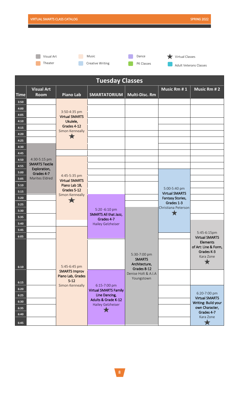**Theater** 

**Creative Writing** 



**Virtual Classes Adult Veterans Classes** 

| <b>Tuesday Classes</b> |                              |                                                       |                                               |                                                               |                                           |                                                                    |
|------------------------|------------------------------|-------------------------------------------------------|-----------------------------------------------|---------------------------------------------------------------|-------------------------------------------|--------------------------------------------------------------------|
|                        | <b>Visual Art</b>            |                                                       |                                               |                                                               | Music Rm #1                               | <b>Music Rm #2</b>                                                 |
| <b>Time</b>            | Room                         | <b>Piano Lab</b>                                      | <b>SMARTATORIUM</b>                           | Multi-Disc. Rm                                                |                                           |                                                                    |
| 3:50                   |                              |                                                       |                                               |                                                               |                                           |                                                                    |
| 4:00                   |                              | 3:50-4:35 pm                                          |                                               |                                                               |                                           |                                                                    |
| 4:05                   |                              | <b>Virtual SMARTS</b>                                 |                                               |                                                               |                                           |                                                                    |
| 4:10                   |                              | Ukulele,<br>Grades 4-12                               |                                               |                                                               |                                           |                                                                    |
| 4:15                   |                              | Simon Kenneally                                       |                                               |                                                               |                                           |                                                                    |
| 4:20                   |                              | $\bigstar$                                            |                                               |                                                               |                                           |                                                                    |
| 4:25                   |                              |                                                       |                                               |                                                               |                                           |                                                                    |
| 4:30                   |                              |                                                       |                                               |                                                               |                                           |                                                                    |
| 4:45<br>4:50           | 4:30-5:15 pm                 |                                                       |                                               |                                                               |                                           |                                                                    |
| 4:55                   | <b>SMARTS Textile</b>        |                                                       |                                               |                                                               |                                           |                                                                    |
| 5:00                   | Exploration,                 |                                                       |                                               |                                                               |                                           |                                                                    |
| 5:05                   | Grades 4-7<br>Marites Eldred | 4:45-5:35 pm                                          |                                               |                                                               |                                           |                                                                    |
| 5:10                   |                              | <b>Virtual SMARTS</b><br>Piano Lab 1B,                |                                               |                                                               |                                           |                                                                    |
| 5:15                   |                              | Grades 5-12                                           |                                               |                                                               | 5:00-5:40 pm                              |                                                                    |
| 5:20                   |                              | Simon Kenneally                                       |                                               |                                                               | <b>Virtual SMARTS</b><br>Fantasy Stories, |                                                                    |
| 5:25                   |                              | $\bigstar$                                            |                                               |                                                               | Grades 1-3                                |                                                                    |
| 5:30                   |                              |                                                       | 5:20 -6:10 pm                                 |                                                               | Christiana Peterson                       |                                                                    |
| 5:35                   |                              |                                                       | SMARTS All that Jazz,<br>Grades 4-7           |                                                               |                                           |                                                                    |
| 5:40                   |                              |                                                       | <b>Hailey Gelzheiser</b>                      |                                                               |                                           |                                                                    |
| 5:45                   |                              |                                                       |                                               |                                                               |                                           | 5:45-6:15pm                                                        |
| 6:05                   |                              |                                                       |                                               |                                                               |                                           | <b>Virtual SMARTS</b>                                              |
| 6:10                   |                              | 5:45-6:45 pm                                          |                                               | 5:30-7:00 pm<br><b>SMARTS</b><br>Architecture,<br>Grades 8-12 |                                           | <b>Elements</b><br>of Art: Line & Form,<br>Grades K-3<br>Kara Zone |
| 6:15                   |                              | <b>SMARTS Improv</b><br>Piano Lab, Grades<br>$5 - 12$ |                                               | Denise Holt & A.I.A<br>Youngstown                             |                                           |                                                                    |
| 6:20                   |                              | Simon Kenneally                                       | 6:15-7:00 pm                                  |                                                               |                                           |                                                                    |
| 6:25                   |                              |                                                       | <b>Virtual SMARTS Family</b><br>Line Dancing, |                                                               |                                           | 6:20-7:00 pm                                                       |
| 6:30                   |                              |                                                       | <b>Adults &amp; Grade K-12</b>                |                                                               |                                           | <b>Virtual SMARTS</b>                                              |
| 6:35                   |                              |                                                       | Hailey Gelzheiser                             |                                                               |                                           | Writing: Build your<br>own Character,                              |
| 6:40                   |                              |                                                       |                                               |                                                               |                                           | Grades 4-7                                                         |
| 6:45                   |                              |                                                       |                                               |                                                               |                                           | Kara Zone                                                          |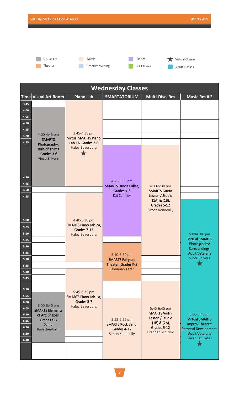Theater  $\Box$ 

**Creative Writing** 





| <b>Wednesday Classes</b> |                                              |                                             |                                           |                                      |                                                |
|--------------------------|----------------------------------------------|---------------------------------------------|-------------------------------------------|--------------------------------------|------------------------------------------------|
|                          | $\mathsf{Time} \mathsf{Visual}$ Art Room $ $ | <b>Piano Lab</b>                            | <b>SMARTATORIUM</b>                       | <b>Multi-Disc. Rm</b>                | <b>Music Rm #2</b>                             |
| 3:45                     |                                              |                                             |                                           |                                      |                                                |
| 4:00                     |                                              |                                             |                                           |                                      |                                                |
| 4:05                     |                                              |                                             |                                           |                                      |                                                |
| 4:10                     |                                              |                                             |                                           |                                      |                                                |
| 4:15                     |                                              |                                             |                                           |                                      |                                                |
| 4:20                     | 4:00-4:45 pm                                 | 3:45-4:35 pm<br><b>Virtual SMARTS Piano</b> |                                           |                                      |                                                |
| 4:25                     | <b>SMARTS</b><br>Photography:                | Lab 1A, Grades 3-6                          |                                           |                                      |                                                |
|                          | <b>Rule of Thirds</b>                        | <b>Haley Beverburg</b>                      |                                           |                                      |                                                |
|                          | Grades 3-6<br><b>Vince Shivers</b>           | T                                           |                                           |                                      |                                                |
|                          |                                              |                                             |                                           |                                      |                                                |
|                          |                                              |                                             |                                           |                                      |                                                |
| 4:30                     |                                              |                                             |                                           |                                      |                                                |
| 4:45                     |                                              |                                             | 4:25-5:05 pm                              |                                      |                                                |
| 4:50                     |                                              |                                             | <b>SMARTS Dance Ballet,</b><br>Grades K-3 | 4:30-5:30 pm<br><b>SMARTS Guitar</b> |                                                |
| 4:55                     |                                              |                                             | Kat Sanfrey                               | Lesson / Studio                      |                                                |
|                          |                                              |                                             |                                           | $(1A)$ & $(1B)$ ,                    |                                                |
|                          |                                              |                                             |                                           | Grades 5-12<br>Simon Kenneally       |                                                |
|                          |                                              |                                             |                                           |                                      |                                                |
| 5:00                     |                                              | 4:40-5:30 pm                                |                                           |                                      |                                                |
| 5:05                     |                                              | <b>SMARTS Piano Lab 2A,</b><br>Grades 7-12  |                                           |                                      |                                                |
| 5:10                     |                                              | <b>Haley Beverburg</b>                      |                                           |                                      | 5:00-6:00 pm                                   |
| 5:15                     |                                              |                                             |                                           |                                      | <b>Virtual SMARTS</b>                          |
| 5:20                     |                                              |                                             |                                           |                                      | Photography:<br>Surroundings,                  |
| 5:25                     |                                              |                                             | 5:10-5:50 pm                              |                                      | <b>Adult Veterans</b>                          |
| 5:30                     |                                              |                                             | <b>SMARTS Fairytale</b>                   |                                      | <b>Vince Shivers</b>                           |
| 5:35                     |                                              |                                             | Theater, Grades K-3                       |                                      |                                                |
| 5:40                     |                                              |                                             | Savannah Teter                            |                                      |                                                |
| 5:45                     |                                              |                                             |                                           |                                      |                                                |
|                          |                                              |                                             |                                           |                                      |                                                |
| 5:50                     |                                              | 5:45-6:35 pm                                |                                           |                                      |                                                |
| 5:55                     |                                              | <b>SMARTS Piano Lab 1A,</b><br>Grades 3-7   |                                           |                                      |                                                |
| 6:00                     | 6:00-6:40 pm                                 | <b>Haley Beverburg</b>                      |                                           |                                      |                                                |
| 6:05                     | <b>SMARTS Elements</b>                       |                                             |                                           | 5:45-6:45 pm<br><b>SMARTS Violin</b> |                                                |
| 6:10                     | of Art: Shapes,<br>Grades K-3                |                                             | 5:55-6:55 pm                              | Lesson / Studio                      | 6:00-6:45pm<br><b>Virtual SMARTS</b>           |
| 6:15                     | Daniel                                       |                                             | <b>SMARTS Rock Band,</b>                  | $(1B)$ & $(2A)$ ,<br>Grades 5-12     | Improv Theater:                                |
| 6:20<br>6:30             | Rauschenbach                                 |                                             | Grades 4-12<br>Simon Kenneally            | <b>Brendan McEvoy</b>                | Personal Development,<br><b>Adult Veterans</b> |
| 6:40                     |                                              |                                             |                                           |                                      | Savannah Teter                                 |
|                          |                                              |                                             |                                           |                                      | Ŧ                                              |
|                          |                                              |                                             |                                           |                                      |                                                |
|                          |                                              |                                             |                                           |                                      |                                                |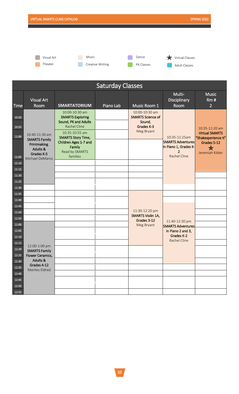**Theater** 

Visual Art **Contract Contract Contract Contract Contract Contract Contract Contract Contract Contract Contract Contract Contract Contract Contract Contract Contract Contract Contract Contract Contract Contract Contract Con Creative Writing** 



Virtual Classes **Adult Classes** 

| <b>Saturday Classes</b>                            |                                                                                                                |                                                                                                                                                                                                          |           |                                                                                  |                                                                                                |                                                                                                  |
|----------------------------------------------------|----------------------------------------------------------------------------------------------------------------|----------------------------------------------------------------------------------------------------------------------------------------------------------------------------------------------------------|-----------|----------------------------------------------------------------------------------|------------------------------------------------------------------------------------------------|--------------------------------------------------------------------------------------------------|
| <b>Time</b>                                        | <b>Visual Art</b><br>Room                                                                                      | <b>SMARTATORIUM</b>                                                                                                                                                                                      | Piano Lab | Music Room 1                                                                     | Multi-<br>Disciplinary<br>Room                                                                 | <b>Music</b><br>Rm#<br>$\overline{2}$                                                            |
| 10:50<br>10:55<br>11:00<br>11:05<br>11:10<br>11:15 | 10:40-11:30 am<br><b>SMARTS Family</b><br>Printmaking,<br><b>Adults &amp;</b><br>Grades K-5<br>Michael DeMarco | 10:00-10:30 am<br><b>SMARTS Exploring</b><br>Sound, PK and Adults<br><b>Rachel Cline</b><br>10:35-10:55 am<br><b>SMARTS Story Time,</b><br>Children Ages 1-7 and<br>Family<br>Read by SMARTS<br>families |           | 10:00-10:30 am<br><b>SMARTS Science of</b><br>Sound,<br>Grades K-3<br>Meg Bryant | 10:35-11:25am<br><b>SMARTS Adventures</b><br>in Piano 1, Grades K-<br>2<br><b>Rachel Cline</b> | 10:35-11:20 am<br><b>Virtual SMARTS</b><br>"Shakesperience It"<br>Grades 5-12<br>Jeremiah Kibler |
| 11:20<br>11:25<br>11:30                            |                                                                                                                |                                                                                                                                                                                                          |           |                                                                                  |                                                                                                |                                                                                                  |
| 11:35                                              |                                                                                                                |                                                                                                                                                                                                          |           |                                                                                  |                                                                                                |                                                                                                  |
| 11:40                                              |                                                                                                                |                                                                                                                                                                                                          |           |                                                                                  |                                                                                                |                                                                                                  |
| 11:45                                              |                                                                                                                |                                                                                                                                                                                                          |           |                                                                                  |                                                                                                |                                                                                                  |
| 11:50                                              |                                                                                                                |                                                                                                                                                                                                          |           | 11:30-12:20 pm<br><b>SMARTS Violin 1A,</b>                                       |                                                                                                |                                                                                                  |
| 11:55                                              |                                                                                                                |                                                                                                                                                                                                          |           | Grades 3-12                                                                      | 11:40-12:30 pm                                                                                 |                                                                                                  |
| 12:00<br>12:05<br>12:10<br>12:15                   | 12:00-1:00 pm                                                                                                  |                                                                                                                                                                                                          |           | Meg Bryant                                                                       | <b>SMARTS Adventures</b><br>in Piano 2 and 3,<br>Grades K-2<br><b>Rachel Cline</b>             |                                                                                                  |
| 12:20                                              | <b>SMARTS Family</b>                                                                                           |                                                                                                                                                                                                          |           |                                                                                  |                                                                                                |                                                                                                  |
| 12:25                                              | Flower Ceramics,                                                                                               |                                                                                                                                                                                                          |           |                                                                                  |                                                                                                |                                                                                                  |
| 12:30                                              | Adults &<br>Grades 4-12<br>Marites Eldred                                                                      |                                                                                                                                                                                                          |           |                                                                                  |                                                                                                |                                                                                                  |
| 12:35                                              |                                                                                                                |                                                                                                                                                                                                          |           |                                                                                  |                                                                                                |                                                                                                  |
| 12:40                                              |                                                                                                                |                                                                                                                                                                                                          |           |                                                                                  |                                                                                                |                                                                                                  |
| 12:45                                              |                                                                                                                |                                                                                                                                                                                                          |           |                                                                                  |                                                                                                |                                                                                                  |
| 12:50                                              |                                                                                                                |                                                                                                                                                                                                          |           |                                                                                  |                                                                                                |                                                                                                  |
| 12:55                                              |                                                                                                                |                                                                                                                                                                                                          |           |                                                                                  |                                                                                                |                                                                                                  |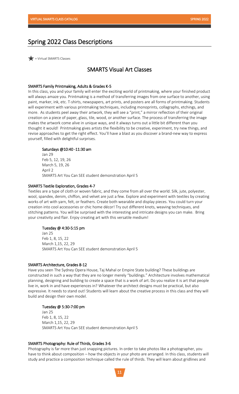## Spring 2022 Class Descriptions

= Virtual SMARTS Classes

## SMARTS Visual Art Classes

#### SMARTS Family Printmaking, Adults & Grades K-5

In this class, you and your family will enter the exciting world of printmaking, where your finished product will always amaze you. Printmaking is a method of transferring images from one surface to another, using paint, marker, ink, etc. T-shirts, newspapers, art prints, and posters are all forms of printmaking. Students will experiment with various printmaking techniques, including monoprints, collagraphs, etchings, and more. As students peel away their artwork, they will see a "print," a mirror reflection of their original creation on a piece of paper, glass, tile, wood, or another surface. The process of transferring the image makes the artwork come alive in unique ways, and it always turns out a little bit different than you thought it would! Printmaking gives artists the flexibility to be creative, experiment, try new things, and revise approaches to get the right effect. You'll have a blast as you discover a brand-new way to express yourself, filled with delightful surprises.

#### Saturdays @10:40 -11:30 am

Jan 29 Feb 5, 12, 19, 26 March 5, 19, 26 April 2 SMARTS Art You Can SEE student demonstration April 5

#### SMARTS Textile Exploration, Grades 4-7

Textiles are a type of cloth or woven fabric, and they come from all over the world. Silk, jute, polyester, wool, spandex, denim, chiffon, and velvet are just a few. Explore and experiment with textiles by creating works of art with yarn, felt, or feathers. Create both wearable and display pieces. You could turn your creation into cool accessories or chic home décor! Try out different knots, weaving techniques, and stitching patterns. You will be surprised with the interesting and intricate designs you can make. Bring your creativity and flair. Enjoy creating art with this versatile medium!

#### Tuesday @ 4:30-5:15 pm

Jan 25 Feb 1, 8, 15, 22 March 1,15, 22, 29 SMARTS Art You Can SEE student demonstration April 5

#### SMARTS Architecture, Grades 8-12

Have you seen The Sydney Opera House, Taj Mahal or Empire State building? These buildings are constructed in such a way that they are no longer merely "buildings." Architecture involves mathematical planning, designing and building to create a space that is a work of art. Do you realize it is art that people live in, work in and have experiences in? Whatever the architect designs must be practical, but also expressive. It needs to stand out! Students will learn about the creative process in this class and they will build and design their own model.

#### Tuesday @ 5:30-7:00 pm

Jan 25 Feb 1, 8, 15, 22 March 1,15, 22, 29 SMARTS Art You Can SEE student demonstration April 5

#### SMARTS Photography: Rule of Thirds, Grades 3-6

Photography is far more than just snapping pictures. In order to take photos like a photographer, you have to think about composition – how the objects in your photo are arranged. In this class, students will study and practice a composition technique called the rule of thirds. They will learn about gridlines and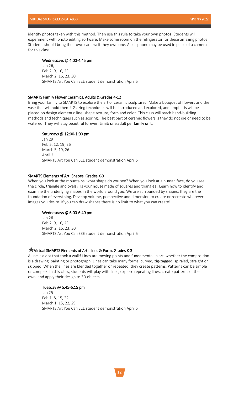identify photos taken with this method. Then use this rule to take your own photos! Students will experiment with photo editing software. Make some room on the refrigerator for these amazing photos! Students should bring their own camera if they own one. A cell phone may be used in place of a camera for this class.

#### Wednesdays @ 4:00-4:45 pm

Jan 26, Feb 2, 9, 16, 23 March 2, 16, 23, 30 SMARTS Art You Can SEE student demonstration April 5

#### SMARTS Family Flower Ceramics, Adults & Grades 4-12

Bring your family to SMARTS to explore the art of ceramic sculptures! Make a bouquet of flowers and the vase that will hold them! Glazing techniques will be introduced and explored, and emphasis will be placed on design elements: line, shape texture, form and color. This class will teach hand-building methods and techniques such as scoring. The best part of ceramic flowers is they do not die or need to be watered. They will stay beautiful forever. Limit: one adult per family unit.

#### Saturdays @ 12:00-1:00 pm

Jan 29 Feb 5, 12, 19, 26 March 5, 19, 26 April 2 SMARTS Art You Can SEE student demonstration April 5

#### SMARTS Elements of Art: Shapes, Grades K-3

When you look at the mountains, what shape do you see? When you look at a human face, do you see the circle, triangle and ovals? Is your house made of squares and triangles? Learn how to identify and examine the underlying shapes in the world around you. We are surrounded by shapes; they are the foundation of everything. Develop volume, perspective and dimension to create or recreate whatever images you desire. If you can draw shapes there is no limit to what you can create!

#### Wednesdays @ 6:00-6:40 pm

Jan 26 Feb 2, 9, 16, 23 March 2, 16, 23, 30 SMARTS Art You Can SEE student demonstration April 5

#### Virtual SMARTS Elements of Art: Lines & Form, Grades K-3

A line is a dot that took a walk! Lines are moving points and fundamental in art, whether the composition is a drawing, painting or photograph. Lines can take many forms: curved, zig-zagged, spiraled, straight or skipped. When the lines are blended together or repeated, they create patterns. Patterns can be simple or complex. In this class, students will play with lines, explore repeating lines, create patterns of their own, and apply their design to 3D objects.

#### Tuesday @ 5:45-6:15 pm

Jan 25 Feb 1, 8, 15, 22 March 1, 15, 22, 29 SMARTS Art You Can SEE student demonstration April 5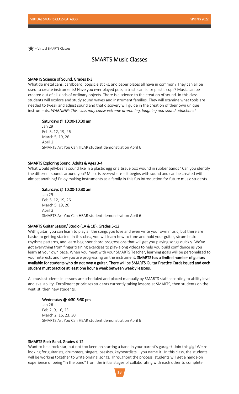Virtual SMARTS Classes

## SMARTS Music Classes

#### SMARTS Science of Sound, Grades K-3

What do metal cans, cardboard, popsicle sticks, and paper plates all have in common? They can all be used to create instruments! Have you ever played pots, a trash can lid or plastic cups? Music can be created out of all kinds of ordinary objects. There is a science to the creation of sound. In this class students will explore and study sound waves and instrument families. They will examine what tools are needed to tweak and adjust sound and that discovery will guide in the creation of their own unique instruments. *WARNING: This class may cause extreme drumming, laughing and sound addictions!*

#### Saturdays @ 10:00-10:30 am

Jan 29 Feb 5, 12, 19, 26 March 5, 19, 26 April 2 SMARTS Art You Can HEAR student demonstration April 6

#### SMARTS Exploring Sound, Adults & Ages 3-4

What would jellybeans sound like in a plastic egg or a tissue box wound in rubber bands? Can you identify the different sounds around you? Music is everywhere – it begins with sound and can be created with almost anything! Enjoy making instruments as a family in this fun introduction for future music students.

#### Saturdays @ 10:00-10:30 am

Jan 29 Feb 5, 12, 19, 26 March 5, 19, 26 April 2 SMARTS Art You Can HEAR student demonstration April 6

#### SMARTS Guitar Lesson/ Studio (1A & 1B), Grades 5-12

With guitar, you can learn to play all the songs you love and even write your own music, but there are basics to getting started. In this class, you will learn how to tune and hold your guitar, strum basic rhythms patterns, and learn beginner chord progressions that will get you playing songs quickly. We've got everything from finger training exercises to play-along videos to help you build confidence as you learn at your own pace. When you meet with your SMARTS Teacher, learning goals will be personalized to your interests and how you are progressing on the instrument. SMARTS has a limited number of guitars available for students who do not own a guitar. There will be SMARTS Guitar Practice Cards issued and each student must practice at least one hour a week between weekly lessons.

All music students in lessons are scheduled and placed manually by SMARTS staff according to ability level and availability. Enrollment prioritizes students currently taking lessons at SMARTS, then students on the waitlist, then new students.

#### Wednesday @ 4:30-5:30 pm

Jan 26 Feb 2, 9, 16, 23 March 2, 16, 23, 30 SMARTS Art You Can HEAR student demonstration April 6

#### SMARTS Rock Band, Grades 4-12

Want to be a rock star, but not too keen on starting a band in your parent's garage? Join this gig! We're looking for guitarists, drummers, singers, bassists, keyboardists – you name it. In this class, the students will be working together to write original songs. Throughout the process, students will get a hands-on experience of being "in the band" from the initial stages of collaborating with each other to complete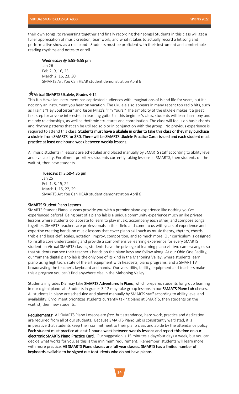their own songs, to rehearsing together and finally recording their songs! Students in this class will get a fuller appreciation of music creation, teamwork, and what it takes to actually record a hit song and perform a live show as a real band! Students must be proficient with their instrument and comfortable reading rhythms and notes to enroll.

#### Wednesday @ 5:55-6:55 pm

Jan 26 Feb 2, 9, 16, 23 March 2, 16, 23, 30 SMARTS Art You Can HEAR student demonstration April 6

#### Virtual SMARTS Ukulele, Grades 4-12

This fun Hawaiian instrument has captivated audiences with imaginations of island life for years, but it's not only an instrument you hear on vacation. The ukulele also appears in many recent top radio hits, such as Train's "Hey Soul Sister" and Jason Mraz's "I'm Yours." The simplicity of the ukulele makes it a great first step for anyone interested in learning guitar! In this beginner's class, students will learn harmony and melody relationships, as well as rhythmic structures and coordination. The class will focus on basic chords and rhythm patterns that can be utilized solo or in conjunction with the group. No previous experience is required to attend this class. Students must have a ukulele in order to take this class or they may purchase a ukulele from SMARTS for \$30. There will be SMARTS Ukulele Practice Cards issued and each student must practice at least one hour a week between weekly lessons.

All music students in lessons are scheduled and placed manually by SMARTS staff according to ability level and availability. Enrollment prioritizes students currently taking lessons at SMARTS, then students on the waitlist, then new students.

#### Tuesdays @ 3:50-4:35 pm

Jan 25 Feb 1, 8, 15, 22 March 1, 15, 22, 29 SMARTS Art You Can HEAR student demonstration April 6

#### SMARTS Student Piano Lessons

SMARTS Student Piano Lessons provide you with a premier piano experience like nothing you've experienced before! Being part of a piano lab is a unique community experience much unlike private lessons where students collaborate to learn to play music, accompany each other, and compose songs together. SMARTS teachers are professionals in their field and come to us with years of experience and expertise creating hands-on music lessons that cover piano skill such as music theory, rhythm, chords, treble and bass clef, scales, notation, improv, composition, and so much more. Our curriculum is designed to instill a core understanding and provide a comprehensive learning experience for every SMARTS student. In Virtual SMARTS classes, students have the privilege of learning piano via two camera angles so that students can see their teacher's hands on the piano keys and follow along. At our Ohio One Facility, our Yamaha digital piano lab is the only one of its kind in the Mahoning Valley, where students learn piano using high tech, state of the art equipment with headsets, piano programs, and a SMART TV broadcasting the teacher's keyboard and hands. Our versatility, facility, equipment and teachers make this a program you can't find anywhere else in the Mahoning Valley!

Students in grades K-2 may take SMARTS Adventures in Piano, which prepares students for group learning in our digital piano lab. Students in grades 3-12 may take group lessons in our SMARTS Piano Lab classes. All students in piano are scheduled and placed manually by SMARTS staff according to ability level and availability. Enrollment prioritizes students currently taking piano at SMARTS, then students on the waitlist, then new students.

Requirements: All SMARTS Piano Lessons are *free,* but attendance, hard work, practice and dedication are required from all of our students. Because SMARTS Piano Lab is consistently waitlisted, it is imperative that students keep their commitment to their piano class and abide by the attendance policy. Each student must practice at least 1 hour a week between weekly lessons and report this time on our electronic SMARTS Piano Practice Card. Our suggestion is 15 minutes a day/four days a week, but you can decide what works for you, as this is the minimum requirement. Remember, students will learn more with more practice. All SMARTS Piano classes are full-year classes. SMARTS has a limited number of keyboards available to be signed out to students who do not have pianos.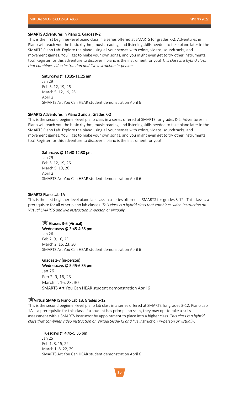#### SMARTS Adventures in Piano 1, Grades K-2

This is the first beginner-level piano class in a series offered at SMARTS for grades K-2. Adventures in Piano will teach you the basic rhythm, music reading, and listening skills needed to take piano later in the SMARTS Piano Lab. Explore the piano using all your senses with colors, videos, soundtracks, and movement games. You'll get to make your own songs, and you might even get to try other instruments, too! Register for this adventure to discover if piano is the instrument for you! *This class is a hybrid class that combines video instruction and live instruction in-person.* 

#### Saturdays @ 10:35-11:25 am

Jan 29 Feb 5, 12, 19, 26 March 5, 12, 19, 26 April 2 SMARTS Art You Can HEAR student demonstration April 6

#### SMARTS Adventures in Piano 2 and 3, Grades K-2

This is the second beginner-level piano class in a series offered at SMARTS for grades K-2. Adventures in Piano will teach you the basic rhythm, music reading, and listening skills needed to take piano later in the SMARTS Piano Lab. Explore the piano using all your senses with colors, videos, soundtracks, and movement games. You'll get to make your own songs, and you might even get to try other instruments, too! Register for this adventure to discover if piano is the instrument for you!

#### Saturdays @ 11:40-12:30 pm

Jan 29 Feb 5, 12, 19, 26 March 5, 19, 26 April 2 SMARTS Art You Can HEAR student demonstration April 6

#### SMARTS Piano Lab 1A

This is the first beginner-level piano lab class in a series offered at SMARTS for grades 3-12. This class is a prerequisite for all other piano lab classes. *This class is a hybrid class that combines video instruction on Virtual SMARTS and live instruction in-person or virtually.* 

#### Grades 3-6 (Virtual)

Wednesdays @ 3:45-4:35 pm Jan 26 Feb 2, 9, 16, 23 March 2, 16, 23, 30 SMARTS Art You Can HEAR student demonstration April 6

#### Grades 3-7 (in-person)

Wednesdays @ 5:45-6:35 pm Jan 26 Feb 2, 9, 16, 23 March 2, 16, 23, 30 SMARTS Art You Can HEAR student demonstration April 6

## Virtual SMARTS Piano Lab 1B, Grades 5-12

This is the second beginner-level piano lab class in a series offered at SMARTS for grades 3-12. Piano Lab 1A is a prerequisite for this class. If a student has prior piano skills, they may opt to take a skills assessment with a SMARTS Instructor by appointment to place into a higher class. *This class is a hybrid class that combines video instruction on Virtual SMARTS and live instruction in-person or virtually.*

#### Tuesdays @ 4:45-5:35 pm

Jan 25 Feb 1, 8, 15, 22 March 1, 8, 22, 29 SMARTS Art You Can HEAR student demonstration April 6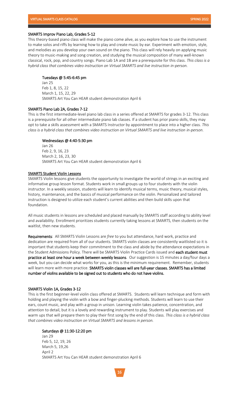#### SMARTS Improv Piano Lab, Grades 5-12

This theory-based piano class will make the piano come alive, as you explore how to use the instrument to make solos and riffs by learning how to play and create music by ear. Experiment with emotion, style, and melodies as you develop your own sound on the piano. This class will rely heavily on applying music theory to music-making and song creation, and studying the musical composition of many well-known classical, rock, pop, and country songs. Piano Lab 1A and 1B are a prerequisite for this class. *This class is a hybrid class that combines video instruction on Virtual SMARTS and live instruction in-person.*

#### Tuesdays @ 5:45-6:45 pm

Jan 25 Feb 1, 8, 15, 22 March 1, 15, 22, 29 SMARTS Art You Can HEAR student demonstration April 6

#### SMARTS Piano Lab 2A, Grades 7-12

This is the first intermediate-level piano lab class in a series offered at SMARTS for grades 3-12. This class is a prerequisite for all other intermediate piano lab classes. If a student has prior piano skills, they may opt to take a skills assessment with a SMARTS Instructor by appointment to place into a higher class. *This class is a hybrid class that combines video instruction on Virtual SMARTS and live instruction in-person.*

#### Wednesdays @ 4:40-5:30 pm

Jan 26 Feb 2, 9, 16, 23 March 2, 16, 23, 30 SMARTS Art You Can HEAR student demonstration April 6

#### SMARTS Student Violin Lessons

SMARTS Violin lessons give students the opportunity to investigate the world of strings in an exciting and informative group lesson format. Students work in small groups up to four students with the violin instructor. In a weekly session, students will learn to identify musical terms, music theory, musical styles, history, maintenance, and the basics of musical performance on the violin. Personalized and tailored instruction is designed to utilize each student's current abilities and then build skills upon that foundation.

All music students in lessons are scheduled and placed manually by SMARTS staff according to ability level and availability. Enrollment prioritizes students currently taking lessons at SMARTS, then students on the waitlist, then new students.

Requirements: All SMARTS Violin Lessons are *free* to you but attendance, hard work, practice and dedication are required from all of our students. SMARTS violin classes are consistently waitlisted so it is important that students keep their commitment to the class and abide by the attendance expectations in the Student Admissions Policy. There will be SMARTS Violin Practice Cards issued and each student must practice at least one hour a week between weekly lessons. Our suggestion is 15 minutes a day/four days a week, but you can decide what works for you, as this is the minimum requirement. Remember, students will learn more with more practice. SMARTS violin classes will are full-year classes. SMARTS has a limited number of violins available to be signed out to students who do not have violins.

#### SMARTS Violin 1A, Grades 3-12

This is the first beginner-level violin class offered at SMARTS. Students will learn technique and form with holding and playing the violin with a bow and finger-plucking methods. Students will learn to use their ears, count music, and play with a group in unison. Learning violin takes patience, concentration, and attention to detail, but it is a lovely and rewarding instrument to play. Students will play exercises and warm ups that will prepare them to play their first song by the end of this class. *This class is a hybrid class that combines video instruction on Virtual SMARTS and lessons in person.* 

#### Saturdays @ 11:30-12:20 pm

Jan 29 Feb 5, 12, 19, 26 March 5, 19,26 April 2 SMARTS Art You Can HEAR student demonstration April 6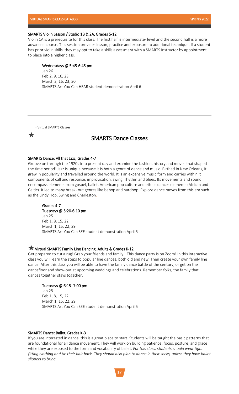#### VIRTUAL SMARTS CLASS CATALOG SPRING 2022

#### SMARTS Violin Lesson / Studio 1B & 2A, Grades 5-12

Violin 1A is a prerequisite for this class. The first half is intermediate- level and the second half is a more advanced course. This session provides lesson, practice and exposure to additional technique. If a student has prior violin skills, they may opt to take a skills assessment with a SMARTS Instructor by appointment to place into a higher class.

#### Wednesdays @ 5:45-6:45 pm

Jan 26 Feb 2, 9, 16, 23 March 2, 16, 23, 30 SMARTS Art You Can HEAR student demonstration April 6

= Virtual SMARTS Classes



## SMARTS Dance Classes

#### SMARTS Dance: All that Jazz, Grades 4-7

Groove on through the 1920s into present day and examine the fashion, history and moves that shaped the time period! Jazz is unique because it is both a genre of dance and music. Birthed in New Orleans, it grew in popularity and travelled around the world. It is an expansive music form and carries within it components of call and response, improvisation, swing, rhythm and blues. Its movements and sound encompass elements from gospel, ballet, American pop culture and ethnic dances elements (African and Celtic). It led to many break- out genres like bebop and hardbop. Explore dance moves from this era such as the Lindy Hop, Swing and Charleston.

#### Grades 4-7

Tuesdays @ 5:20-6:10 pm Jan 25 Feb 1, 8, 15, 22 March 1, 15, 22, 29 SMARTS Art You Can SEE student demonstration April 5

#### Virtual SMARTS Family Line Dancing, Adults & Grades K-12

Get prepared to cut a rug! Grab your friends and family! This dance party is on Zoom! In this interactive class you will learn the steps to popular line dances, both old and new. Then create your own family line dance. After this class you will be able to have the family dance battle of the century, or get on the dancefloor and show-out at upcoming weddings and celebrations. Remember folks, the family that dances together stays together.

#### Tuesdays @ 6:15 -7:00 pm

Jan 25 Feb 1, 8, 15, 22 March 1, 15, 22, 29 SMARTS Art You Can SEE student demonstration April 5

#### SMARTS Dance: Ballet, Grades K-3

If you are interested in dance, this is a great place to start. Students will be taught the basic patterns that are foundational for all dance movement. They will work on building patience, focus, posture, and grace while they are exposed to the form and vocabulary of ballet. *For this class, students should wear tight fitting clothing and tie their hair back. They should also plan to dance in their socks, unless they have ballet slippers to bring.*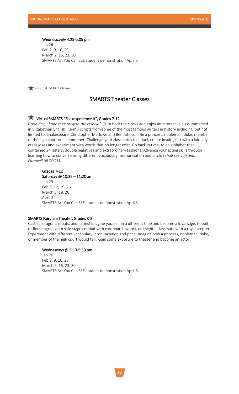#### Wednesday@ 4:25-5:05 pm

Jan 26 Feb 2, 9, 16, 23 March 2, 16, 23, 30 SMARTS Art You Can SEE student demonstration April 5

 $\blacktriangleright$  = Virtual SMARTS Classes

## SMARTS Theater Classes

## Virtual SMARTS "Shakesperience It", Grades 7-12

*Good day, I hope thee privy to the resolve?* Turn back the clocks and enjoy an interactive class immersed in Elizabethan English. Re-mix scripts from some of the most famous writers in history including, but not limited to, Shakespeare, Christopher Marlowe and Ben Johnson. Be a princess, nobleman, duke, member of the high court or a commoner. Challenge your classmates to a duel, create insults, flirt with a fair lady, crack jokes and experiment with words that no longer exist. Go back in time, to an alphabet that contained 24 letters, double negatives and extraordinary fashions. Advance your acting skills through learning how to converse using different vocabulary, pronunciation and pitch. *I shall see you anon. Farewell till ZOOM.'*

## Grades 7-12

Saturday @ 10:35 – 11:20 am Jan 29 Feb 5, 12, 19, 26 March 5, 19, 26 April 2 SMARTS Art You Can SEE student demonstration April 5

#### SMARTS Fairytale Theater, Grades K-3

Castles, dragons, moats, and fairies! Imagine yourself in a different time and become a loyal sage, hobbit or fierce ogre. Learn safe stage combat with cardboard swords, or knight a classmate with a royal scepter. Experiment with different vocabulary, pronunciation and pitch. Imagine how a princess, nobleman, duke, or member of the high court would talk. Gain some exposure to theater and become an actor!

#### Wednesdays @ 5:10-5:50 pm

Jan 26 Feb 2, 9, 16, 23 March 2, 16, 23, 30 SMARTS Art You Can SEE student demonstration April 5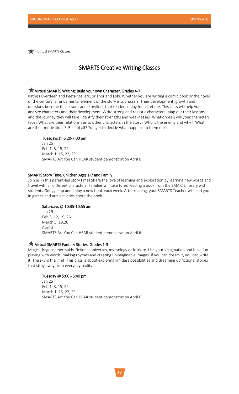$\blacktriangleright$  = Virtual SMARTS Classes

## SMARTS Creative Writing Classes

## Virtual SMARTS Writing: Build your own Character, Grades 4-7

Katniss Everdeen and Peeta Mellark, or Thor and Loki. Whether you are writing a comic book or the novel of the century, a fundamental element of the story is *characters*. Their development, growth and decisions become the lessons and storylines that readers enjoy for a lifetime. This class will help you analyze characters and their development. Write strong and realistic characters. Map out their lessons and the journey they will take. Identify their strengths and weaknesses. What ordeals will your characters face? What are their relationships to other characters in the story? Who is the enemy and why? What are their motivations? Best of all? You get to decide what happens to them next.

## Tuesdays @ 6:20-7:00 pm

Jan 25 Feb 1, 8, 15, 22 March 1, 15, 22, 29 SMARTS Art You Can HEAR student demonstration April 6

#### SMARTS Story Time, Children Ages 1-7 and Family

Join us in this parent-led story time! Share the love of learning and exploration by learning new words and travel with all different characters. Families will take turns reading a book from the SMARTS library with students. Snuggle up and enjoy a new book each week. After reading, your SMARTS Teacher will lead you in games and arts activities about the book.

#### Saturdays @ 10:35-10:55 am

Jan 29 Feb 5, 12, 19, 26 March 5, 19,26 April 2 SMARTS Art You Can HEAR student demonstration April 6

#### Virtual SMARTS Fantasy Stories, Grades 1-3

Magic, dragons, mermaids, fictional universes, mythology or folklore. Use your imagination and have fun playing with words, making rhymes and creating unimaginable images. If you can dream it, you can write it. The sky is the limit! This class is about exploring limitless possibilities and dreaming up fictional stories that stray away from everyday reality.

#### Tuesday @ 5:00 - 5:40 pm

Jan 25 Feb 1, 8, 15, 22 March 1, 15, 22, 29 SMARTS Art You Can HEAR student demonstration April 6